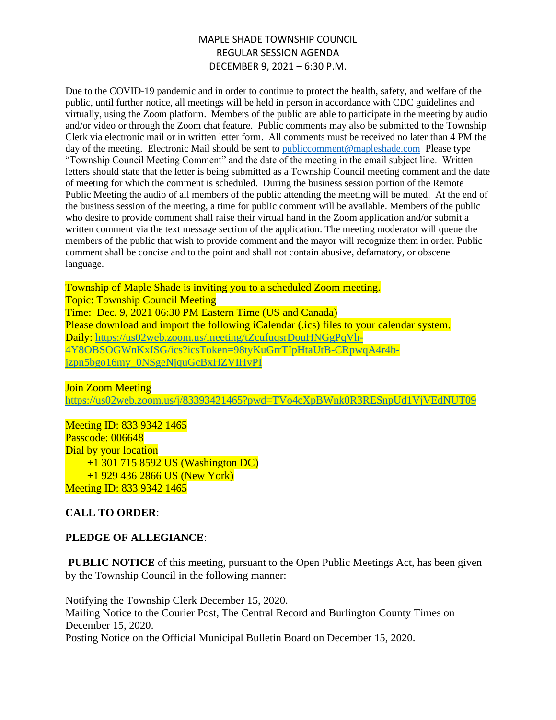Due to the COVID-19 pandemic and in order to continue to protect the health, safety, and welfare of the public, until further notice, all meetings will be held in person in accordance with CDC guidelines and virtually, using the Zoom platform. Members of the public are able to participate in the meeting by audio and/or video or through the Zoom chat feature. Public comments may also be submitted to the Township Clerk via electronic mail or in written letter form. All comments must be received no later than 4 PM the day of the meeting. Electronic Mail should be sent to public comment@mapleshade.com Please type "Township Council Meeting Comment" and the date of the meeting in the email subject line. Written letters should state that the letter is being submitted as a Township Council meeting comment and the date of meeting for which the comment is scheduled. During the business session portion of the Remote Public Meeting the audio of all members of the public attending the meeting will be muted. At the end of the business session of the meeting, a time for public comment will be available. Members of the public who desire to provide comment shall raise their virtual hand in the Zoom application and/or submit a written comment via the text message section of the application. The meeting moderator will queue the members of the public that wish to provide comment and the mayor will recognize them in order. Public comment shall be concise and to the point and shall not contain abusive, defamatory, or obscene language.

Township of Maple Shade is inviting you to a scheduled Zoom meeting. Topic: Township Council Meeting Time: Dec. 9, 2021 06:30 PM Eastern Time (US and Canada) Please download and import the following iCalendar (.ics) files to your calendar system. Daily: [https://us02web.zoom.us/meeting/tZcufuqsrDouHNGgPqVh-](https://us02web.zoom.us/meeting/tZcufuqsrDouHNGgPqVh-4Y8OBSOGWnKxISG/ics?icsToken=98tyKuGrrTIpHtaUtB-CRpwqA4r4b-jzpn5bgo16my_0NSgeNjquGcBxHZVIHvPI)[4Y8OBSOGWnKxISG/ics?icsToken=98tyKuGrrTIpHtaUtB-CRpwqA4r4b](https://us02web.zoom.us/meeting/tZcufuqsrDouHNGgPqVh-4Y8OBSOGWnKxISG/ics?icsToken=98tyKuGrrTIpHtaUtB-CRpwqA4r4b-jzpn5bgo16my_0NSgeNjquGcBxHZVIHvPI)[jzpn5bgo16my\\_0NSgeNjquGcBxHZVIHvPI](https://us02web.zoom.us/meeting/tZcufuqsrDouHNGgPqVh-4Y8OBSOGWnKxISG/ics?icsToken=98tyKuGrrTIpHtaUtB-CRpwqA4r4b-jzpn5bgo16my_0NSgeNjquGcBxHZVIHvPI)

#### Join Zoom Meeting

<https://us02web.zoom.us/j/83393421465?pwd=TVo4cXpBWnk0R3RESnpUd1VjVEdNUT09>

Meeting ID: 833 9342 1465 Passcode: 006648 Dial by your location +1 301 715 8592 US (Washington DC) +1 929 436 2866 US (New York) Meeting ID: 833 9342 1465

## **CALL TO ORDER**:

## **PLEDGE OF ALLEGIANCE**:

**PUBLIC NOTICE** of this meeting, pursuant to the Open Public Meetings Act, has been given by the Township Council in the following manner:

Notifying the Township Clerk December 15, 2020. Mailing Notice to the Courier Post, The Central Record and Burlington County Times on December 15, 2020. Posting Notice on the Official Municipal Bulletin Board on December 15, 2020.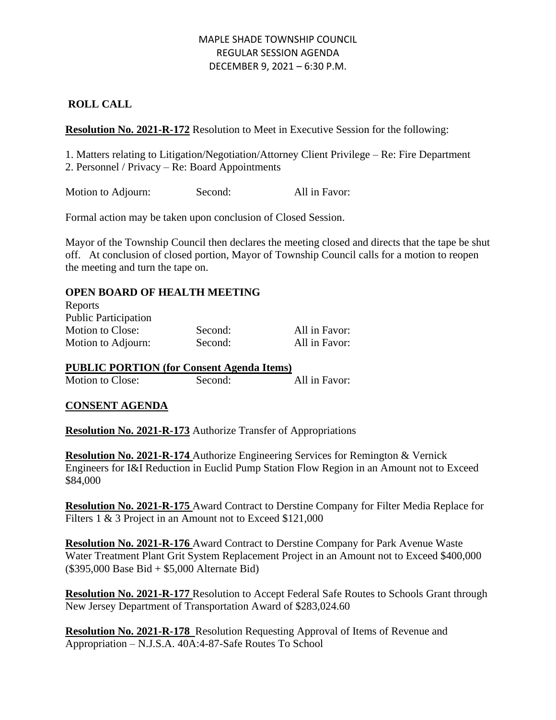## **ROLL CALL**

**Resolution No. 2021-R-172** Resolution to Meet in Executive Session for the following:

1. Matters relating to Litigation/Negotiation/Attorney Client Privilege – Re: Fire Department 2. Personnel / Privacy – Re: Board Appointments

Motion to Adjourn: Second: All in Favor:

Formal action may be taken upon conclusion of Closed Session.

Mayor of the Township Council then declares the meeting closed and directs that the tape be shut off. At conclusion of closed portion, Mayor of Township Council calls for a motion to reopen the meeting and turn the tape on.

## **OPEN BOARD OF HEALTH MEETING**

| Reports                     |         |               |
|-----------------------------|---------|---------------|
| <b>Public Participation</b> |         |               |
| Motion to Close:            | Second: | All in Favor: |
| Motion to Adjourn:          | Second: | All in Favor: |

#### **PUBLIC PORTION (for Consent Agenda Items)**

Motion to Close: Second: All in Favor:

## **CONSENT AGENDA**

**Resolution No. 2021-R-173** Authorize Transfer of Appropriations

**Resolution No. 2021-R-174** Authorize Engineering Services for Remington & Vernick Engineers for I&I Reduction in Euclid Pump Station Flow Region in an Amount not to Exceed \$84,000

**Resolution No. 2021-R-175** Award Contract to Derstine Company for Filter Media Replace for Filters 1 & 3 Project in an Amount not to Exceed \$121,000

**Resolution No. 2021-R-176** Award Contract to Derstine Company for Park Avenue Waste Water Treatment Plant Grit System Replacement Project in an Amount not to Exceed \$400,000 (\$395,000 Base Bid + \$5,000 Alternate Bid)

**Resolution No. 2021-R-177** Resolution to Accept Federal Safe Routes to Schools Grant through New Jersey Department of Transportation Award of \$283,024.60

**Resolution No. 2021-R-178** Resolution Requesting Approval of Items of Revenue and Appropriation – N.J.S.A. 40A:4-87-Safe Routes To School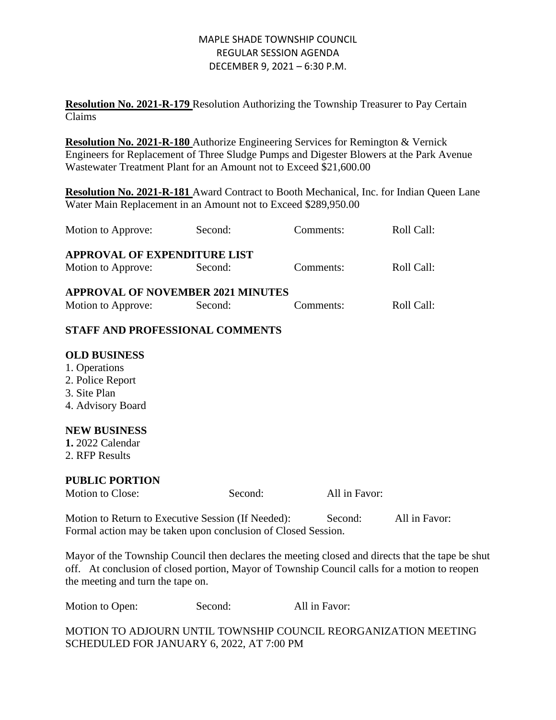**Resolution No. 2021-R-179** Resolution Authorizing the Township Treasurer to Pay Certain Claims

**Resolution No. 2021-R-180** Authorize Engineering Services for Remington & Vernick Engineers for Replacement of Three Sludge Pumps and Digester Blowers at the Park Avenue Wastewater Treatment Plant for an Amount not to Exceed \$21,600.00

**Resolution No. 2021-R-181** Award Contract to Booth Mechanical, Inc. for Indian Queen Lane Water Main Replacement in an Amount not to Exceed \$289,950.00

| Motion to Approve:                                                                                                                                                                                                                    | Second: | Comments:     | Roll Call: |  |  |
|---------------------------------------------------------------------------------------------------------------------------------------------------------------------------------------------------------------------------------------|---------|---------------|------------|--|--|
| <b>APPROVAL OF EXPENDITURE LIST</b>                                                                                                                                                                                                   |         |               |            |  |  |
| Motion to Approve:                                                                                                                                                                                                                    | Second: | Comments:     | Roll Call: |  |  |
| <b>APPROVAL OF NOVEMBER 2021 MINUTES</b>                                                                                                                                                                                              |         |               |            |  |  |
| Motion to Approve:                                                                                                                                                                                                                    | Second: | Comments:     | Roll Call: |  |  |
| STAFF AND PROFESSIONAL COMMENTS                                                                                                                                                                                                       |         |               |            |  |  |
| <b>OLD BUSINESS</b><br>1. Operations<br>2. Police Report<br>3. Site Plan<br>4. Advisory Board<br><b>NEW BUSINESS</b><br>1. 2022 Calendar<br>2. RFP Results                                                                            |         |               |            |  |  |
| <b>PUBLIC PORTION</b>                                                                                                                                                                                                                 |         |               |            |  |  |
| Motion to Close:                                                                                                                                                                                                                      | Second: | All in Favor: |            |  |  |
| All in Favor:<br>Motion to Return to Executive Session (If Needed):<br>Second:<br>Formal action may be taken upon conclusion of Closed Session.                                                                                       |         |               |            |  |  |
| Mayor of the Township Council then declares the meeting closed and directs that the tape be shut<br>off. At conclusion of closed portion, Mayor of Township Council calls for a motion to reopen<br>the meeting and turn the tape on. |         |               |            |  |  |

| Motion to Open: | Second: | All in Favor: |
|-----------------|---------|---------------|
|-----------------|---------|---------------|

MOTION TO ADJOURN UNTIL TOWNSHIP COUNCIL REORGANIZATION MEETING SCHEDULED FOR JANUARY 6, 2022, AT 7:00 PM